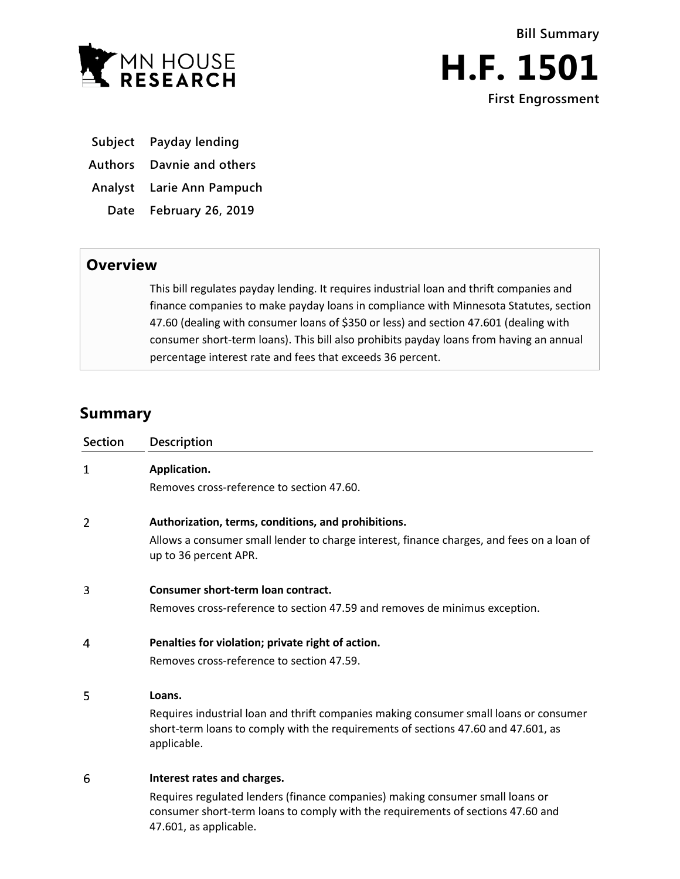



- **Subject Payday lending**
- **Authors Davnie and others**

**Analyst Larie Ann Pampuch**

**Date February 26, 2019**

## **Overview**

This bill regulates payday lending. It requires industrial loan and thrift companies and finance companies to make payday loans in compliance with Minnesota Statutes, section 47.60 (dealing with consumer loans of \$350 or less) and section 47.601 (dealing with consumer short-term loans). This bill also prohibits payday loans from having an annual percentage interest rate and fees that exceeds 36 percent.

## **Summary**

| <b>Section</b> | Description                                                                                                                                                                                |
|----------------|--------------------------------------------------------------------------------------------------------------------------------------------------------------------------------------------|
| 1              | Application.                                                                                                                                                                               |
|                | Removes cross-reference to section 47.60.                                                                                                                                                  |
| 2              | Authorization, terms, conditions, and prohibitions.                                                                                                                                        |
|                | Allows a consumer small lender to charge interest, finance charges, and fees on a loan of<br>up to 36 percent APR.                                                                         |
| 3              | Consumer short-term loan contract.                                                                                                                                                         |
|                | Removes cross-reference to section 47.59 and removes de minimus exception.                                                                                                                 |
| 4              | Penalties for violation; private right of action.                                                                                                                                          |
|                | Removes cross-reference to section 47.59.                                                                                                                                                  |
| 5              | Loans.                                                                                                                                                                                     |
|                | Requires industrial loan and thrift companies making consumer small loans or consumer<br>short-term loans to comply with the requirements of sections 47.60 and 47.601, as<br>applicable.  |
| 6              | Interest rates and charges.                                                                                                                                                                |
|                | Requires regulated lenders (finance companies) making consumer small loans or<br>consumer short-term loans to comply with the requirements of sections 47.60 and<br>47.601, as applicable. |